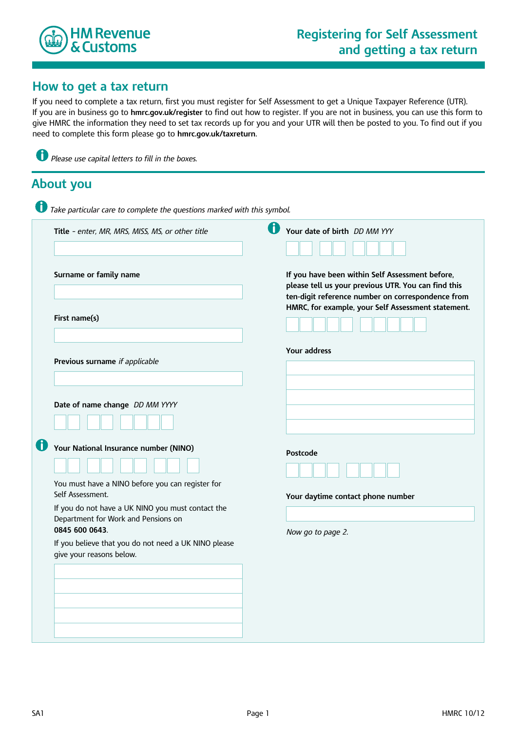

## **How to get a tax return**

If you need to complete a tax return, first you must register for Self Assessment to get a Unique Taxpayer Reference (UTR). If you are in business go to **hmrc.gov.uk/register** to find out how to register. If you are not in business, you can use this form to give HMRC the information they need to set tax records up for you and your UTR will then be posted to you. To find out if you need to complete this form please go to **hmrc.gov.uk/taxreturn**.

| Title - enter, MR, MRS, MISS, MS, or other title                                                           | O | Your date of birth <i>DD MM YYY</i>                                                                                                                                                                               |
|------------------------------------------------------------------------------------------------------------|---|-------------------------------------------------------------------------------------------------------------------------------------------------------------------------------------------------------------------|
| Surname or family name                                                                                     |   | If you have been within Self Assessment before,<br>please tell us your previous UTR. You can find this<br>ten-digit reference number on correspondence from<br>HMRC, for example, your Self Assessment statement. |
| First name(s)                                                                                              |   |                                                                                                                                                                                                                   |
| Previous surname if applicable                                                                             |   | Your address                                                                                                                                                                                                      |
| Date of name change DD MM YYYY                                                                             |   |                                                                                                                                                                                                                   |
| Your National Insurance number (NINO)                                                                      |   | Postcode                                                                                                                                                                                                          |
| You must have a NINO before you can register for<br>Self Assessment.                                       |   | Your daytime contact phone number                                                                                                                                                                                 |
| If you do not have a UK NINO you must contact the<br>Department for Work and Pensions on<br>0845 600 0643. |   | Now go to page 2.                                                                                                                                                                                                 |
| If you believe that you do not need a UK NINO please<br>give your reasons below.                           |   |                                                                                                                                                                                                                   |